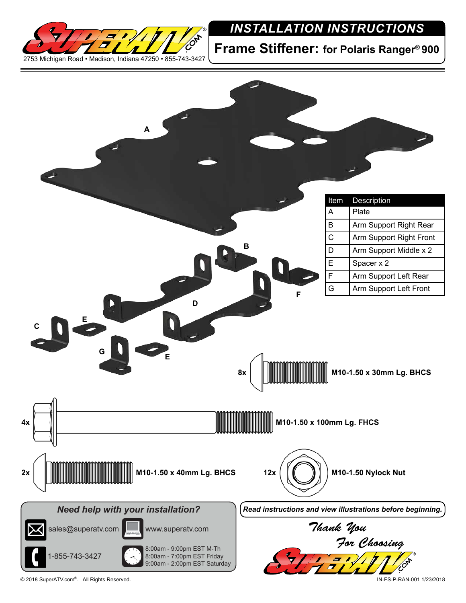

## *INSTALLATION INSTRUCTIONS*

**Frame Stiffener: for Polaris Ranger® 900**



© 2018 SuperATV.com®. All Rights Reserved. IN-FS-P-RAN-001 1/23/2018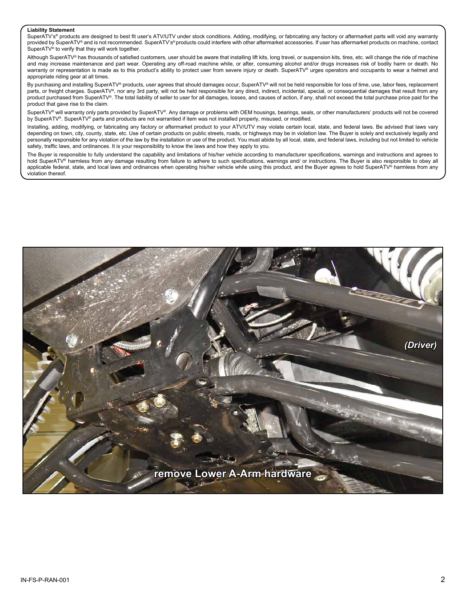## **Liability Statement**

SuperATV's<sup>®</sup> products are designed to best fit user's ATV/UTV under stock conditions. Adding, modifying, or fabricating any factory or aftermarket parts will void any warranty provided by SuperATV® and is not recommended. SuperATV's® products could interfere with other aftermarket accessories. If user has aftermarket products on machine, contact SuperATV<sup>®</sup> to verify that they will work together.

Although SuperATV® has thousands of satisfied customers, user should be aware that installing lift kits, long travel, or suspension kits, tires, etc. will change the ride of machine and may increase maintenance and part wear. Operating any off-road machine while, or after, consuming alcohol and/or drugs increases risk of bodily harm or death. No warranty or representation is made as to this product's ability to protect user from severe injury or death. SuperATV® urges operators and occupants to wear a helmet and appropriate riding gear at all times.

By purchasing and installing SuperATV® products, user agrees that should damages occur, SuperATV® will not be held responsible for loss of time, use, labor fees, replacement parts, or freight charges. SuperATV®, nor any 3rd party, will not be held responsible for any direct, indirect, incidental, special, or consequential damages that result from any product purchased from SuperATV®. The total liability of seller to user for all damages, losses, and causes of action, if any, shall not exceed the total purchase price paid for the product that gave rise to the claim.

SuperATV® will warranty only parts provided by SuperATV®. Any damage or problems with OEM housings, bearings, seals, or other manufacturers' products will not be covered by SuperATV®. SuperATV® parts and products are not warrantied if item was not installed properly, misused, or modified.

Installing, adding, modifying, or fabricating any factory or aftermarket product to your ATV/UTV may violate certain local, state, and federal laws. Be advised that laws vary depending on town, city, county, state, etc. Use of certain products on public streets, roads, or highways may be in violation law. The Buyer is solely and exclusively legally and personally responsible for any violation of the law by the installation or use of the product. You must abide by all local, state, and federal laws, including but not limited to vehicle safety, traffic laws, and ordinances. It is your responsibility to know the laws and how they apply to you.

The Buyer is responsible to fully understand the capability and limitations of his/her vehicle according to manufacturer specifications, warnings and instructions and agrees to hold SuperATV<sup>®</sup> harmless from any damage resulting from failure to adhere to such specifications, warnings and/ or instructions. The Buyer is also responsible to obey all applicable federal, state, and local laws and ordinances when operating his/her vehicle while using this product, and the Buyer agrees to hold SuperATV® harmless from any violation thereof.

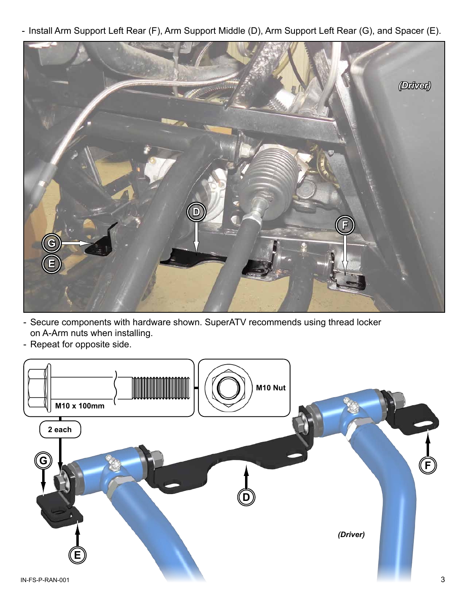- Install Arm Support Left Rear (F), Arm Support Middle (D), Arm Support Left Rear (G), and Spacer (E).



- Secure components with hardware shown. SuperATV recommends using thread locker on A-Arm nuts when installing.
- Repeat for opposite side.